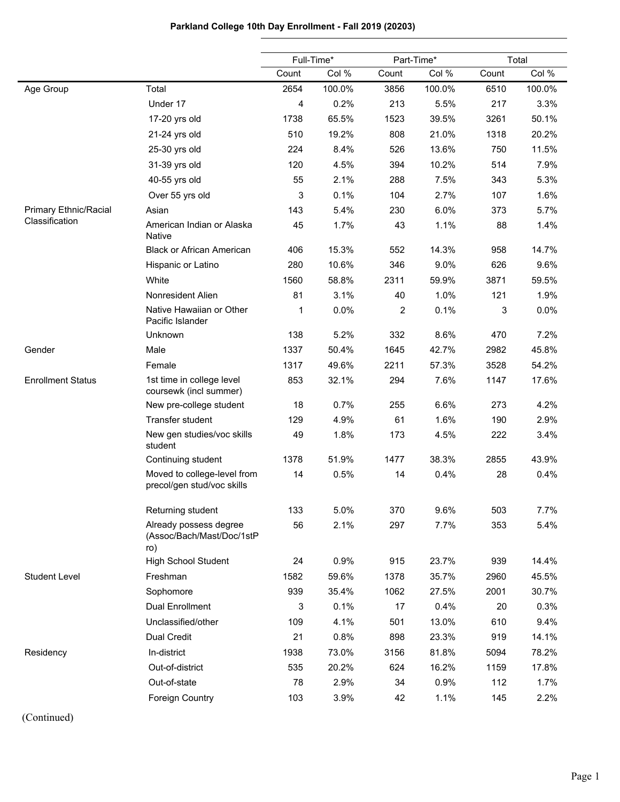# **Parkland College 10th Day Enrollment - Fall 2019 (20203)**

|                          |                                                            | Full-Time* |        | Part-Time* |        | Total |        |
|--------------------------|------------------------------------------------------------|------------|--------|------------|--------|-------|--------|
|                          |                                                            | Count      | Col %  | Count      | Col %  | Count | Col %  |
| Age Group                | Total                                                      | 2654       | 100.0% | 3856       | 100.0% | 6510  | 100.0% |
|                          | Under 17                                                   | 4          | 0.2%   | 213        | 5.5%   | 217   | 3.3%   |
|                          | 17-20 yrs old                                              | 1738       | 65.5%  | 1523       | 39.5%  | 3261  | 50.1%  |
|                          | 21-24 yrs old                                              | 510        | 19.2%  | 808        | 21.0%  | 1318  | 20.2%  |
|                          | 25-30 yrs old                                              | 224        | 8.4%   | 526        | 13.6%  | 750   | 11.5%  |
|                          | 31-39 yrs old                                              | 120        | 4.5%   | 394        | 10.2%  | 514   | 7.9%   |
|                          | 40-55 yrs old                                              | 55         | 2.1%   | 288        | 7.5%   | 343   | 5.3%   |
|                          | Over 55 yrs old                                            | 3          | 0.1%   | 104        | 2.7%   | 107   | 1.6%   |
| Primary Ethnic/Racial    | Asian                                                      | 143        | 5.4%   | 230        | 6.0%   | 373   | 5.7%   |
| Classification           | American Indian or Alaska<br><b>Native</b>                 | 45         | 1.7%   | 43         | 1.1%   | 88    | 1.4%   |
|                          | <b>Black or African American</b>                           | 406        | 15.3%  | 552        | 14.3%  | 958   | 14.7%  |
|                          | Hispanic or Latino                                         | 280        | 10.6%  | 346        | 9.0%   | 626   | 9.6%   |
|                          | White                                                      | 1560       | 58.8%  | 2311       | 59.9%  | 3871  | 59.5%  |
|                          | Nonresident Alien                                          | 81         | 3.1%   | 40         | 1.0%   | 121   | 1.9%   |
|                          | Native Hawaiian or Other<br>Pacific Islander               | 1          | 0.0%   | 2          | 0.1%   | 3     | 0.0%   |
|                          | Unknown                                                    | 138        | 5.2%   | 332        | 8.6%   | 470   | 7.2%   |
| Gender                   | Male                                                       | 1337       | 50.4%  | 1645       | 42.7%  | 2982  | 45.8%  |
|                          | Female                                                     | 1317       | 49.6%  | 2211       | 57.3%  | 3528  | 54.2%  |
| <b>Enrollment Status</b> | 1st time in college level<br>coursewk (incl summer)        | 853        | 32.1%  | 294        | 7.6%   | 1147  | 17.6%  |
|                          | New pre-college student                                    | 18         | 0.7%   | 255        | 6.6%   | 273   | 4.2%   |
|                          | Transfer student                                           | 129        | 4.9%   | 61         | 1.6%   | 190   | 2.9%   |
|                          | New gen studies/voc skills<br>student                      | 49         | 1.8%   | 173        | 4.5%   | 222   | 3.4%   |
|                          | Continuing student                                         | 1378       | 51.9%  | 1477       | 38.3%  | 2855  | 43.9%  |
|                          | Moved to college-level from<br>precol/gen stud/voc skills  | 14         | 0.5%   | 14         | 0.4%   | 28    | 0.4%   |
|                          | Returning student                                          | 133        | 5.0%   | 370        | 9.6%   | 503   | 7.7%   |
|                          | Already possess degree<br>(Assoc/Bach/Mast/Doc/1stP<br>ro) | 56         | 2.1%   | 297        | 7.7%   | 353   | 5.4%   |
|                          | <b>High School Student</b>                                 | 24         | 0.9%   | 915        | 23.7%  | 939   | 14.4%  |
| <b>Student Level</b>     | Freshman                                                   | 1582       | 59.6%  | 1378       | 35.7%  | 2960  | 45.5%  |
|                          | Sophomore                                                  | 939        | 35.4%  | 1062       | 27.5%  | 2001  | 30.7%  |
|                          | <b>Dual Enrollment</b>                                     | 3          | 0.1%   | 17         | 0.4%   | 20    | 0.3%   |
|                          | Unclassified/other                                         | 109        | 4.1%   | 501        | 13.0%  | 610   | 9.4%   |
|                          | Dual Credit                                                | 21         | 0.8%   | 898        | 23.3%  | 919   | 14.1%  |
| Residency                | In-district                                                | 1938       | 73.0%  | 3156       | 81.8%  | 5094  | 78.2%  |
|                          | Out-of-district                                            | 535        | 20.2%  | 624        | 16.2%  | 1159  | 17.8%  |
|                          | Out-of-state                                               | 78         | 2.9%   | 34         | 0.9%   | 112   | 1.7%   |
|                          | Foreign Country                                            | 103        | 3.9%   | 42         | 1.1%   | 145   | 2.2%   |

(Continued)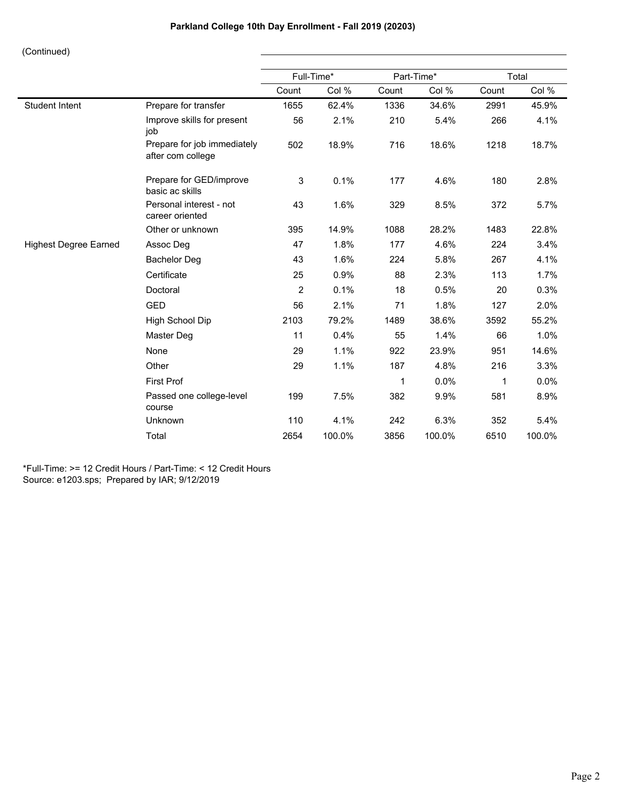|                              |                                                  |       | Full-Time* |             | Part-Time* | Total        |        |  |
|------------------------------|--------------------------------------------------|-------|------------|-------------|------------|--------------|--------|--|
|                              |                                                  | Count | Col %      | Count       | Col %      | Count        | Col %  |  |
| <b>Student Intent</b>        | Prepare for transfer                             | 1655  | 62.4%      | 1336        | 34.6%      | 2991         | 45.9%  |  |
|                              | Improve skills for present<br>job                | 56    | 2.1%       | 210         | 5.4%       | 266          | 4.1%   |  |
|                              | Prepare for job immediately<br>after com college | 502   | 18.9%      | 716         | 18.6%      | 1218         | 18.7%  |  |
|                              | Prepare for GED/improve<br>basic ac skills       | 3     | 0.1%       | 177         | 4.6%       | 180          | 2.8%   |  |
|                              | Personal interest - not<br>career oriented       | 43    | 1.6%       | 329         | 8.5%       | 372          | 5.7%   |  |
|                              | Other or unknown                                 | 395   | 14.9%      | 1088        | 28.2%      | 1483         | 22.8%  |  |
| <b>Highest Degree Earned</b> | Assoc Deg                                        | 47    | 1.8%       | 177         | 4.6%       | 224          | 3.4%   |  |
|                              | <b>Bachelor Deg</b>                              | 43    | 1.6%       | 224         | 5.8%       | 267          | 4.1%   |  |
|                              | Certificate                                      | 25    | 0.9%       | 88          | 2.3%       | 113          | 1.7%   |  |
|                              | Doctoral                                         | 2     | 0.1%       | 18          | 0.5%       | 20           | 0.3%   |  |
|                              | <b>GED</b>                                       | 56    | 2.1%       | 71          | 1.8%       | 127          | 2.0%   |  |
|                              | High School Dip                                  | 2103  | 79.2%      | 1489        | 38.6%      | 3592         | 55.2%  |  |
|                              | Master Deg                                       | 11    | 0.4%       | 55          | 1.4%       | 66           | 1.0%   |  |
|                              | None                                             | 29    | 1.1%       | 922         | 23.9%      | 951          | 14.6%  |  |
|                              | Other                                            | 29    | 1.1%       | 187         | 4.8%       | 216          | 3.3%   |  |
|                              | <b>First Prof</b>                                |       |            | $\mathbf 1$ | 0.0%       | $\mathbf{1}$ | 0.0%   |  |
|                              | Passed one college-level<br>course               | 199   | 7.5%       | 382         | 9.9%       | 581          | 8.9%   |  |
|                              | Unknown                                          | 110   | 4.1%       | 242         | 6.3%       | 352          | 5.4%   |  |
|                              | Total                                            | 2654  | 100.0%     | 3856        | 100.0%     | 6510         | 100.0% |  |

\*Full-Time: >= 12 Credit Hours / Part-Time: < 12 Credit Hours Source: e1203.sps; Prepared by IAR; 9/12/2019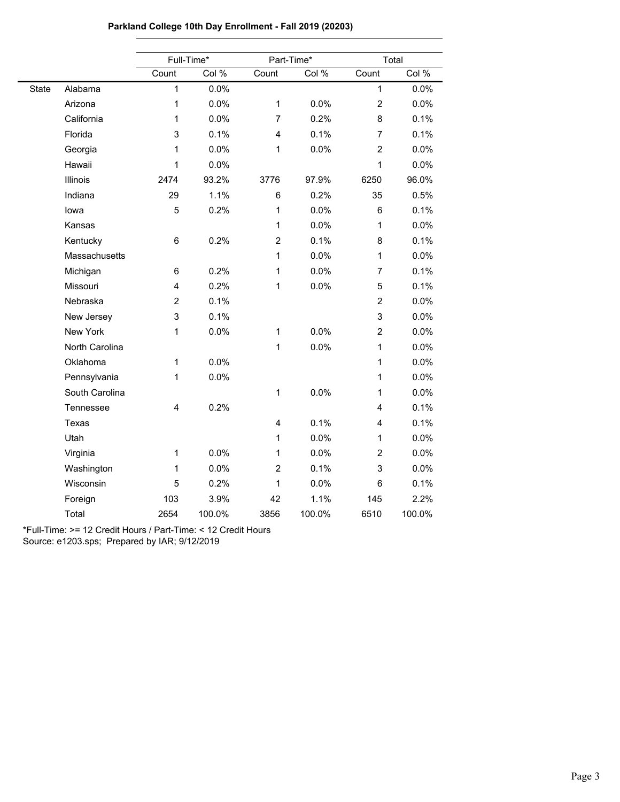|       |                | Full-Time*              |        |                         | Part-Time* |                | Total  |  |  |
|-------|----------------|-------------------------|--------|-------------------------|------------|----------------|--------|--|--|
|       |                | Count                   | Col %  | Count                   | Col %      | Count          | Col %  |  |  |
| State | Alabama        | $\mathbf{1}$            | 0.0%   |                         |            | $\mathbf{1}$   | 0.0%   |  |  |
|       | Arizona        | 1                       | 0.0%   | $\mathbf{1}$            | 0.0%       | $\overline{2}$ | 0.0%   |  |  |
|       | California     | 1                       | 0.0%   | 7                       | 0.2%       | 8              | 0.1%   |  |  |
|       | Florida        | 3                       | 0.1%   | $\overline{\mathbf{4}}$ | 0.1%       | $\overline{7}$ | 0.1%   |  |  |
|       | Georgia        | 1                       | 0.0%   | $\mathbf{1}$            | 0.0%       | $\overline{c}$ | 0.0%   |  |  |
|       | Hawaii         | 1                       | 0.0%   |                         |            | $\mathbf{1}$   | 0.0%   |  |  |
|       | Illinois       | 2474                    | 93.2%  | 3776                    | 97.9%      | 6250           | 96.0%  |  |  |
|       | Indiana        | 29                      | 1.1%   | 6                       | 0.2%       | 35             | 0.5%   |  |  |
|       | lowa           | 5                       | 0.2%   | 1                       | 0.0%       | 6              | 0.1%   |  |  |
|       | Kansas         |                         |        | $\mathbf{1}$            | 0.0%       | 1              | 0.0%   |  |  |
|       | Kentucky       | 6                       | 0.2%   | $\overline{2}$          | 0.1%       | 8              | 0.1%   |  |  |
|       | Massachusetts  |                         |        | $\mathbf{1}$            | 0.0%       | $\mathbf{1}$   | 0.0%   |  |  |
|       | Michigan       | 6                       | 0.2%   | $\mathbf{1}$            | 0.0%       | $\overline{7}$ | 0.1%   |  |  |
|       | Missouri       | $\overline{4}$          | 0.2%   | $\mathbf{1}$            | 0.0%       | 5              | 0.1%   |  |  |
|       | Nebraska       | $\overline{c}$          | 0.1%   |                         |            | $\overline{c}$ | 0.0%   |  |  |
|       | New Jersey     | 3                       | 0.1%   |                         |            | 3              | 0.0%   |  |  |
|       | New York       | 1                       | 0.0%   | 1                       | 0.0%       | $\overline{c}$ | 0.0%   |  |  |
|       | North Carolina |                         |        | 1                       | 0.0%       | $\mathbf{1}$   | 0.0%   |  |  |
|       | Oklahoma       | 1                       | 0.0%   |                         |            | $\mathbf{1}$   | 0.0%   |  |  |
|       | Pennsylvania   | 1                       | 0.0%   |                         |            | $\mathbf{1}$   | 0.0%   |  |  |
|       | South Carolina |                         |        | $\mathbf{1}$            | 0.0%       | $\mathbf{1}$   | 0.0%   |  |  |
|       | Tennessee      | $\overline{\mathbf{4}}$ | 0.2%   |                         |            | 4              | 0.1%   |  |  |
|       | Texas          |                         |        | 4                       | 0.1%       | 4              | 0.1%   |  |  |
|       | Utah           |                         |        | 1                       | 0.0%       | 1              | 0.0%   |  |  |
|       | Virginia       | 1                       | 0.0%   | $\mathbf{1}$            | 0.0%       | $\overline{c}$ | 0.0%   |  |  |
|       | Washington     | 1                       | 0.0%   | $\overline{c}$          | 0.1%       | 3              | 0.0%   |  |  |
|       | Wisconsin      | 5                       | 0.2%   | 1                       | 0.0%       | 6              | 0.1%   |  |  |
|       | Foreign        | 103                     | 3.9%   | 42                      | 1.1%       | 145            | 2.2%   |  |  |
|       | Total          | 2654                    | 100.0% | 3856                    | 100.0%     | 6510           | 100.0% |  |  |

# **Parkland College 10th Day Enrollment - Fall 2019 (20203)**

\*Full-Time: >= 12 Credit Hours / Part-Time: < 12 Credit Hours

Source: e1203.sps; Prepared by IAR; 9/12/2019

۰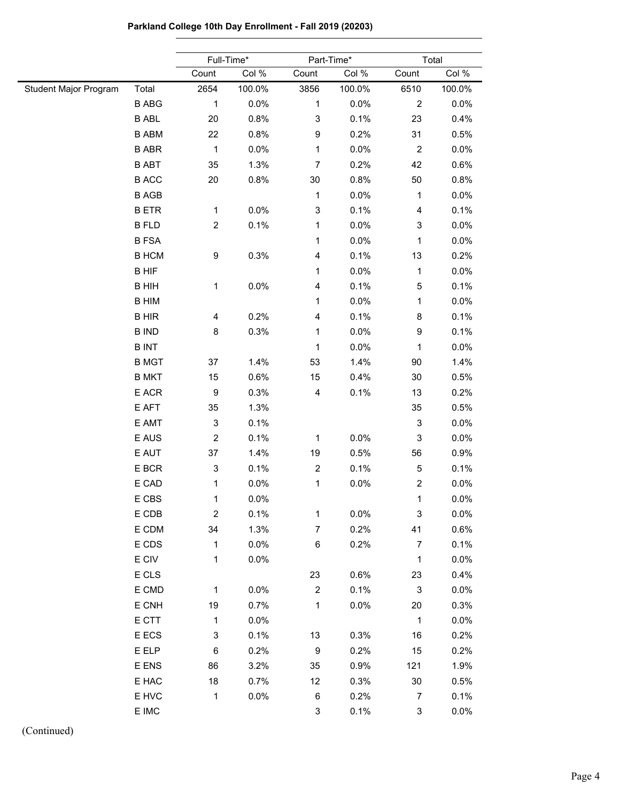|                       |              |                           | Full-Time*<br>Part-Time* |                         |        | Total            |        |  |
|-----------------------|--------------|---------------------------|--------------------------|-------------------------|--------|------------------|--------|--|
|                       |              | Count                     | Col %                    | Count                   | Col %  | Count            | Col %  |  |
| Student Major Program | Total        | 2654                      | 100.0%                   | 3856                    | 100.0% | 6510             | 100.0% |  |
|                       | <b>B ABG</b> | $\mathbf{1}$              | 0.0%                     | 1                       | 0.0%   | $\boldsymbol{2}$ | 0.0%   |  |
|                       | <b>B ABL</b> | 20                        | 0.8%                     | 3                       | 0.1%   | 23               | 0.4%   |  |
|                       | <b>B ABM</b> | 22                        | 0.8%                     | 9                       | 0.2%   | 31               | 0.5%   |  |
|                       | <b>B ABR</b> | $\mathbf{1}$              | 0.0%                     | $\mathbf{1}$            | 0.0%   | $\boldsymbol{2}$ | 0.0%   |  |
|                       | <b>B ABT</b> | 35                        | 1.3%                     | 7                       | 0.2%   | 42               | 0.6%   |  |
|                       | <b>B ACC</b> | 20                        | 0.8%                     | $30\,$                  | 0.8%   | 50               | 0.8%   |  |
|                       | <b>B AGB</b> |                           |                          | 1                       | 0.0%   | $\mathbf{1}$     | 0.0%   |  |
|                       | <b>BETR</b>  | $\mathbf{1}$              | 0.0%                     | 3                       | 0.1%   | 4                | 0.1%   |  |
|                       | <b>B FLD</b> | $\overline{c}$            | 0.1%                     | 1                       | 0.0%   | 3                | 0.0%   |  |
|                       | <b>B FSA</b> |                           |                          | 1                       | 0.0%   | $\mathbf{1}$     | 0.0%   |  |
|                       | <b>B HCM</b> | 9                         | 0.3%                     | 4                       | 0.1%   | 13               | 0.2%   |  |
|                       | <b>B HIF</b> |                           |                          | 1                       | 0.0%   | $\mathbf 1$      | 0.0%   |  |
|                       | <b>B HIH</b> | $\mathbf{1}$              | 0.0%                     | 4                       | 0.1%   | $\mathbf 5$      | 0.1%   |  |
|                       | <b>B HIM</b> |                           |                          | 1                       | 0.0%   | $\mathbf{1}$     | 0.0%   |  |
|                       | <b>BHIR</b>  | 4                         | 0.2%                     | 4                       | 0.1%   | 8                | 0.1%   |  |
|                       | <b>B IND</b> | 8                         | 0.3%                     | $\mathbf{1}$            | 0.0%   | 9                | 0.1%   |  |
|                       | <b>BINT</b>  |                           |                          | $\mathbf{1}$            | 0.0%   | 1                | 0.0%   |  |
|                       | <b>B MGT</b> | 37                        | 1.4%                     | 53                      | 1.4%   | 90               | 1.4%   |  |
|                       | <b>B MKT</b> | 15                        | 0.6%                     | 15                      | 0.4%   | 30               | 0.5%   |  |
|                       | E ACR        | $\boldsymbol{9}$          | 0.3%                     | 4                       | 0.1%   | 13               | 0.2%   |  |
|                       | E AFT        | 35                        | 1.3%                     |                         |        | 35               | 0.5%   |  |
|                       | E AMT        | $\ensuremath{\mathsf{3}}$ | 0.1%                     |                         |        | 3                | 0.0%   |  |
|                       | E AUS        | $\boldsymbol{2}$          | 0.1%                     | 1                       | 0.0%   | 3                | 0.0%   |  |
|                       | E AUT        | 37                        | 1.4%                     | 19                      | 0.5%   | 56               | 0.9%   |  |
|                       | E BCR        | 3                         | 0.1%                     | $\overline{\mathbf{c}}$ | 0.1%   | 5                | 0.1%   |  |
|                       | E CAD        | 1                         | 0.0%                     | $\mathbf{1}$            | 0.0%   | $\boldsymbol{2}$ | 0.0%   |  |
|                       | E CBS        | 1                         | 0.0%                     |                         |        | $\mathbf{1}$     | 0.0%   |  |
|                       | E CDB        | $\overline{c}$            | 0.1%                     | $\mathbf{1}$            | 0.0%   | 3                | 0.0%   |  |
|                       | E CDM        | 34                        | 1.3%                     | 7                       | 0.2%   | 41               | 0.6%   |  |
|                       | E CDS        | $\mathbf{1}$              | 0.0%                     | 6                       | 0.2%   | $\boldsymbol{7}$ | 0.1%   |  |
|                       | E CIV        | 1                         | 0.0%                     |                         |        | $\mathbf{1}$     | 0.0%   |  |
|                       | E CLS        |                           |                          | 23                      | 0.6%   | 23               | 0.4%   |  |
|                       | E CMD        | $\mathbf{1}$              | 0.0%                     | $\overline{c}$          | 0.1%   | 3                | 0.0%   |  |
|                       | E CNH        | 19                        | 0.7%                     | $\mathbf{1}$            | 0.0%   | 20               | 0.3%   |  |
|                       | E CTT        | $\mathbf{1}$              | 0.0%                     |                         |        | $\mathbf{1}$     | 0.0%   |  |
|                       | E ECS        | 3                         | 0.1%                     | 13                      | 0.3%   | 16               | 0.2%   |  |
|                       | E ELP        | 6                         | 0.2%                     | 9                       | 0.2%   | 15               | 0.2%   |  |
|                       | E ENS        | 86                        | 3.2%                     | 35                      | 0.9%   | 121              | 1.9%   |  |
|                       | E HAC        | 18                        | 0.7%                     | 12                      | 0.3%   | 30               | 0.5%   |  |
|                       | E HVC        | $\mathbf 1$               | 0.0%                     | 6                       | 0.2%   | $\overline{7}$   | 0.1%   |  |
|                       | E IMC        |                           |                          | 3                       | 0.1%   | 3                | 0.0%   |  |
|                       |              |                           |                          |                         |        |                  |        |  |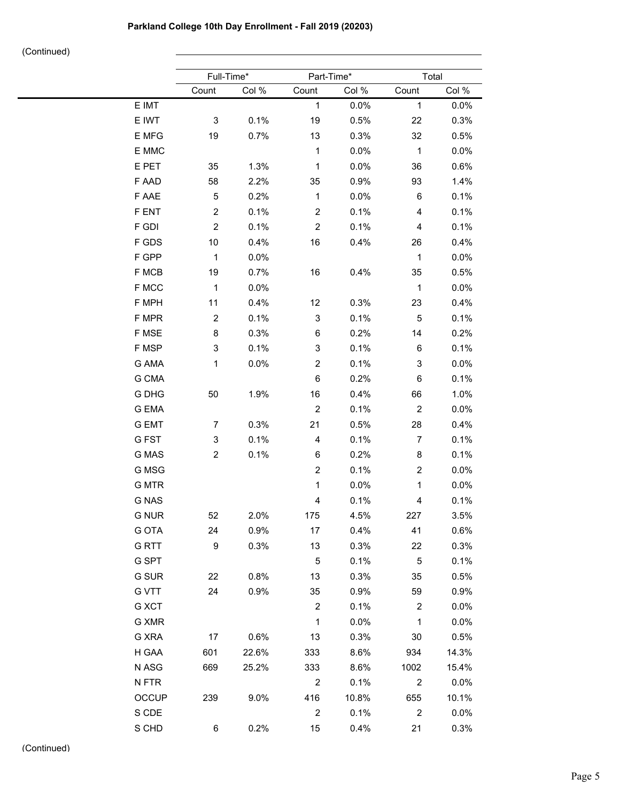|              | Full-Time*     |       |                         | Part-Time* |                         | Total |  |
|--------------|----------------|-------|-------------------------|------------|-------------------------|-------|--|
|              | Count          | Col % | Count                   | Col %      | Count                   | Col % |  |
| E IMT        |                |       | $\mathbf 1$             | 0.0%       | $\mathbf{1}$            | 0.0%  |  |
| E IWT        | 3              | 0.1%  | 19                      | 0.5%       | 22                      | 0.3%  |  |
| E MFG        | 19             | 0.7%  | 13                      | 0.3%       | 32                      | 0.5%  |  |
| E MMC        |                |       | $\mathbf{1}$            | 0.0%       | $\mathbf{1}$            | 0.0%  |  |
| E PET        | 35             | 1.3%  | 1                       | 0.0%       | 36                      | 0.6%  |  |
| F AAD        | 58             | 2.2%  | 35                      | 0.9%       | 93                      | 1.4%  |  |
| F AAE        | 5              | 0.2%  | $\mathbf{1}$            | 0.0%       | 6                       | 0.1%  |  |
| F ENT        | $\overline{c}$ | 0.1%  | $\boldsymbol{2}$        | 0.1%       | $\overline{\mathbf{4}}$ | 0.1%  |  |
| F GDI        | $\overline{c}$ | 0.1%  | $\boldsymbol{2}$        | 0.1%       | 4                       | 0.1%  |  |
| F GDS        | 10             | 0.4%  | 16                      | 0.4%       | 26                      | 0.4%  |  |
| F GPP        | $\mathbf{1}$   | 0.0%  |                         |            | $\mathbf{1}$            | 0.0%  |  |
| F MCB        | 19             | 0.7%  | 16                      | 0.4%       | 35                      | 0.5%  |  |
| F MCC        | $\mathbf{1}$   | 0.0%  |                         |            | $\mathbf{1}$            | 0.0%  |  |
| F MPH        | 11             | 0.4%  | 12                      | 0.3%       | 23                      | 0.4%  |  |
| F MPR        | $\overline{c}$ | 0.1%  | 3                       | 0.1%       | 5                       | 0.1%  |  |
| F MSE        | 8              | 0.3%  | 6                       | 0.2%       | 14                      | 0.2%  |  |
| F MSP        | 3              | 0.1%  | 3                       | 0.1%       | 6                       | 0.1%  |  |
| G AMA        | $\mathbf{1}$   | 0.0%  | $\boldsymbol{2}$        | 0.1%       | 3                       | 0.0%  |  |
| G CMA        |                |       | 6                       | 0.2%       | 6                       | 0.1%  |  |
| G DHG        | 50             | 1.9%  | 16                      | 0.4%       | 66                      | 1.0%  |  |
| <b>G EMA</b> |                |       | $\sqrt{2}$              | 0.1%       | $\overline{2}$          | 0.0%  |  |
| <b>G EMT</b> | 7              | 0.3%  | 21                      | 0.5%       | 28                      | 0.4%  |  |
| G FST        | 3              | 0.1%  | 4                       | 0.1%       | $\overline{7}$          | 0.1%  |  |
| G MAS        | $\overline{c}$ | 0.1%  | 6                       | 0.2%       | 8                       | 0.1%  |  |
| G MSG        |                |       | $\overline{\mathbf{c}}$ | 0.1%       | $\overline{c}$          | 0.0%  |  |
| <b>G MTR</b> |                |       | $\mathbf 1$             | 0.0%       | $\mathbf 1$             | 0.0%  |  |
| <b>G NAS</b> |                |       | 4                       | 0.1%       | 4                       | 0.1%  |  |
| <b>G NUR</b> | 52             | 2.0%  | 175                     | 4.5%       | 227                     | 3.5%  |  |
| G OTA        | 24             | 0.9%  | 17                      | 0.4%       | 41                      | 0.6%  |  |
| <b>GRTT</b>  | 9              | 0.3%  | 13                      | 0.3%       | 22                      | 0.3%  |  |
| G SPT        |                |       | $\sqrt{5}$              | 0.1%       | $5\phantom{.0}$         | 0.1%  |  |
| G SUR        | 22             | 0.8%  | 13                      | 0.3%       | 35                      | 0.5%  |  |
| <b>G VTT</b> | 24             | 0.9%  | 35                      | 0.9%       | 59                      | 0.9%  |  |
| G XCT        |                |       | $\sqrt{2}$              | 0.1%       | $\overline{2}$          | 0.0%  |  |
| G XMR        |                |       | $\mathbf{1}$            | 0.0%       | $\mathbf{1}$            | 0.0%  |  |
| G XRA        | 17             | 0.6%  | 13                      | 0.3%       | 30                      | 0.5%  |  |
| H GAA        | 601            | 22.6% | 333                     | 8.6%       | 934                     | 14.3% |  |
| N ASG        | 669            | 25.2% | 333                     | 8.6%       | 1002                    | 15.4% |  |
| N FTR        |                |       | $\overline{2}$          | 0.1%       | $\overline{2}$          | 0.0%  |  |
| OCCUP        | 239            | 9.0%  | 416                     | 10.8%      | 655                     | 10.1% |  |
| S CDE        |                |       | $\overline{2}$          | 0.1%       | $\overline{2}$          | 0.0%  |  |
| S CHD        | 6              | 0.2%  | 15                      | 0.4%       | 21                      | 0.3%  |  |
|              |                |       |                         |            |                         |       |  |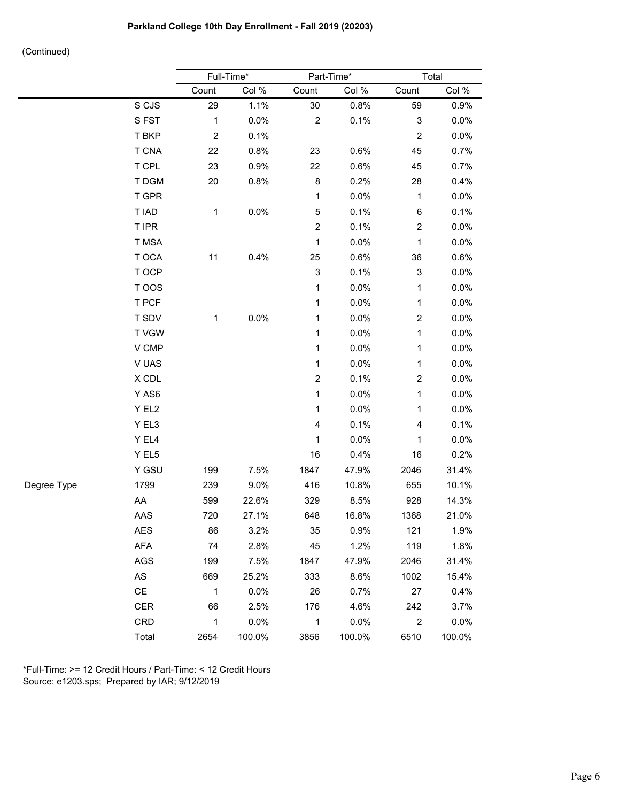|             |             |                | Full-Time* |                           | Part-Time* | Total                     |        |  |
|-------------|-------------|----------------|------------|---------------------------|------------|---------------------------|--------|--|
|             |             | Count          | Col %      | Count                     | Col %      | Count                     | Col %  |  |
|             | S CJS       | 29             | 1.1%       | $30\,$                    | 0.8%       | 59                        | 0.9%   |  |
|             | SFST        | $\mathbf 1$    | 0.0%       | $\boldsymbol{2}$          | 0.1%       | $\ensuremath{\mathsf{3}}$ | 0.0%   |  |
|             | T BKP       | $\overline{c}$ | 0.1%       |                           |            | $\boldsymbol{2}$          | 0.0%   |  |
|             | T CNA       | 22             | 0.8%       | 23                        | 0.6%       | 45                        | 0.7%   |  |
|             | T CPL       | 23             | 0.9%       | 22                        | 0.6%       | 45                        | 0.7%   |  |
|             | T DGM       | 20             | 0.8%       | $\bf 8$                   | 0.2%       | 28                        | 0.4%   |  |
|             | T GPR       |                |            | 1                         | 0.0%       | 1                         | 0.0%   |  |
|             | T IAD       | 1              | 0.0%       | $\mathbf 5$               | 0.1%       | $\,6$                     | 0.1%   |  |
|             | T IPR       |                |            | $\overline{c}$            | 0.1%       | $\boldsymbol{2}$          | 0.0%   |  |
|             | T MSA       |                |            | 1                         | 0.0%       | 1                         | 0.0%   |  |
|             | T OCA       | 11             | 0.4%       | 25                        | 0.6%       | 36                        | 0.6%   |  |
|             | T OCP       |                |            | $\ensuremath{\mathsf{3}}$ | 0.1%       | $\ensuremath{\mathsf{3}}$ | 0.0%   |  |
|             | T OOS       |                |            | 1                         | 0.0%       | 1                         | 0.0%   |  |
|             | T PCF       |                |            | 1                         | 0.0%       | 1                         | 0.0%   |  |
|             | T SDV       | 1              | 0.0%       | 1                         | 0.0%       | $\overline{\mathbf{c}}$   | 0.0%   |  |
|             | <b>TVGW</b> |                |            | 1                         | 0.0%       | 1                         | 0.0%   |  |
|             | V CMP       |                |            | 1                         | 0.0%       | 1                         | 0.0%   |  |
|             | V UAS       |                |            | 1                         | 0.0%       | 1                         | 0.0%   |  |
|             | X CDL       |                |            | $\boldsymbol{2}$          | 0.1%       | $\overline{\mathbf{c}}$   | 0.0%   |  |
|             | Y AS6       |                |            | $\mathbf{1}$              | 0.0%       | 1                         | 0.0%   |  |
|             | Y EL2       |                |            | 1                         | 0.0%       | 1                         | 0.0%   |  |
|             | Y EL3       |                |            | $\overline{4}$            | 0.1%       | 4                         | 0.1%   |  |
|             | Y EL4       |                |            | $\mathbf 1$               | 0.0%       | 1                         | 0.0%   |  |
|             | Y EL5       |                |            | 16                        | 0.4%       | 16                        | 0.2%   |  |
|             | Y GSU       | 199            | 7.5%       | 1847                      | 47.9%      | 2046                      | 31.4%  |  |
| Degree Type | 1799        | 239            | 9.0%       | 416                       | 10.8%      | 655                       | 10.1%  |  |
|             | AA          | 599            | 22.6%      | 329                       | 8.5%       | 928                       | 14.3%  |  |
|             | AAS         | 720            | 27.1%      | 648                       | 16.8%      | 1368                      | 21.0%  |  |
|             | AES         | 86             | 3.2%       | 35                        | 0.9%       | 121                       | 1.9%   |  |
|             | <b>AFA</b>  | 74             | 2.8%       | 45                        | 1.2%       | 119                       | 1.8%   |  |
|             | AGS         | 199            | 7.5%       | 1847                      | 47.9%      | 2046                      | 31.4%  |  |
|             | AS          | 669            | 25.2%      | 333                       | 8.6%       | 1002                      | 15.4%  |  |
|             | CE          | $\mathbf{1}$   | 0.0%       | 26                        | 0.7%       | 27                        | 0.4%   |  |
|             | <b>CER</b>  | 66             | 2.5%       | 176                       | 4.6%       | 242                       | 3.7%   |  |
|             | CRD         | $\mathbf{1}$   | 0.0%       | $\mathbf{1}$              | 0.0%       | $\overline{2}$            | 0.0%   |  |
|             | Total       | 2654           | 100.0%     | 3856                      | 100.0%     | 6510                      | 100.0% |  |

\*Full-Time: >= 12 Credit Hours / Part-Time: < 12 Credit Hours Source: e1203.sps; Prepared by IAR; 9/12/2019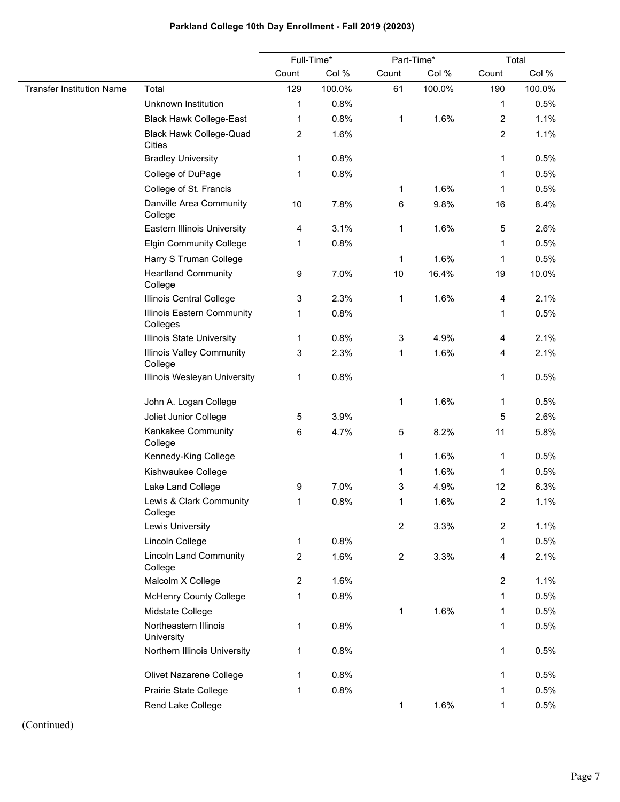# **Parkland College 10th Day Enrollment - Fall 2019 (20203)**

|                                  |                                                 |       | Full-Time* |                | Part-Time* |                | Total  |
|----------------------------------|-------------------------------------------------|-------|------------|----------------|------------|----------------|--------|
|                                  |                                                 | Count | Col %      | Count          | Col %      | Count          | Col %  |
| <b>Transfer Institution Name</b> | Total                                           | 129   | 100.0%     | 61             | 100.0%     | 190            | 100.0% |
|                                  | Unknown Institution                             | 1     | 0.8%       |                |            | 1              | 0.5%   |
|                                  | <b>Black Hawk College-East</b>                  | 1     | 0.8%       | 1              | 1.6%       | $\overline{c}$ | 1.1%   |
|                                  | <b>Black Hawk College-Quad</b><br><b>Cities</b> | 2     | 1.6%       |                |            | 2              | 1.1%   |
|                                  | <b>Bradley University</b>                       | 1     | 0.8%       |                |            | 1              | 0.5%   |
|                                  | College of DuPage                               | 1     | 0.8%       |                |            | 1              | 0.5%   |
|                                  | College of St. Francis                          |       |            | 1              | 1.6%       | 1              | 0.5%   |
|                                  | Danville Area Community<br>College              | $10$  | 7.8%       | 6              | 9.8%       | 16             | 8.4%   |
|                                  | Eastern Illinois University                     | 4     | 3.1%       | 1              | 1.6%       | 5              | 2.6%   |
|                                  | <b>Elgin Community College</b>                  | 1     | 0.8%       |                |            | 1              | 0.5%   |
|                                  | Harry S Truman College                          |       |            | 1              | 1.6%       | 1              | 0.5%   |
|                                  | <b>Heartland Community</b><br>College           | 9     | 7.0%       | 10             | 16.4%      | 19             | 10.0%  |
|                                  | Illinois Central College                        | 3     | 2.3%       | 1              | 1.6%       | 4              | 2.1%   |
|                                  | Illinois Eastern Community<br>Colleges          | 1     | 0.8%       |                |            | 1              | 0.5%   |
|                                  | Illinois State University                       | 1     | 0.8%       | 3              | 4.9%       | 4              | 2.1%   |
|                                  | <b>Illinois Valley Community</b><br>College     | 3     | 2.3%       | 1              | 1.6%       | 4              | 2.1%   |
|                                  | Illinois Wesleyan University                    | 1     | 0.8%       |                |            | 1              | 0.5%   |
|                                  | John A. Logan College                           |       |            | $\mathbf 1$    | 1.6%       | 1              | 0.5%   |
|                                  | Joliet Junior College                           | 5     | 3.9%       |                |            | 5              | 2.6%   |
|                                  | Kankakee Community<br>College                   | 6     | 4.7%       | 5              | 8.2%       | 11             | 5.8%   |
|                                  | Kennedy-King College                            |       |            | 1              | 1.6%       | 1              | 0.5%   |
|                                  | Kishwaukee College                              |       |            | 1              | 1.6%       | 1              | 0.5%   |
|                                  | Lake Land College                               | 9     | 7.0%       | 3              | 4.9%       | 12             | 6.3%   |
|                                  | Lewis & Clark Community<br>College              | 1.    | 0.8%       | 1              | 1.6%       | 2              | 1.1%   |
|                                  | Lewis University                                |       |            | $\mathbf{2}$   | 3.3%       | $\overline{c}$ | 1.1%   |
|                                  | Lincoln College                                 | 1     | 0.8%       |                |            | 1              | 0.5%   |
|                                  | <b>Lincoln Land Community</b><br>College        | 2     | 1.6%       | $\overline{c}$ | 3.3%       | 4              | 2.1%   |
|                                  | Malcolm X College                               | 2     | 1.6%       |                |            | $\overline{2}$ | 1.1%   |
|                                  | <b>McHenry County College</b>                   | 1     | 0.8%       |                |            | $\mathbf{1}$   | 0.5%   |
|                                  | Midstate College                                |       |            | 1              | 1.6%       | 1              | 0.5%   |
|                                  | Northeastern Illinois<br>University             | 1     | 0.8%       |                |            | $\mathbf{1}$   | 0.5%   |
|                                  | Northern Illinois University                    | 1     | 0.8%       |                |            | 1              | 0.5%   |
|                                  | Olivet Nazarene College                         | 1     | 0.8%       |                |            | 1              | 0.5%   |
|                                  | Prairie State College                           | 1     | 0.8%       |                |            | 1              | 0.5%   |
|                                  | Rend Lake College                               |       |            | 1              | 1.6%       | 1              | 0.5%   |